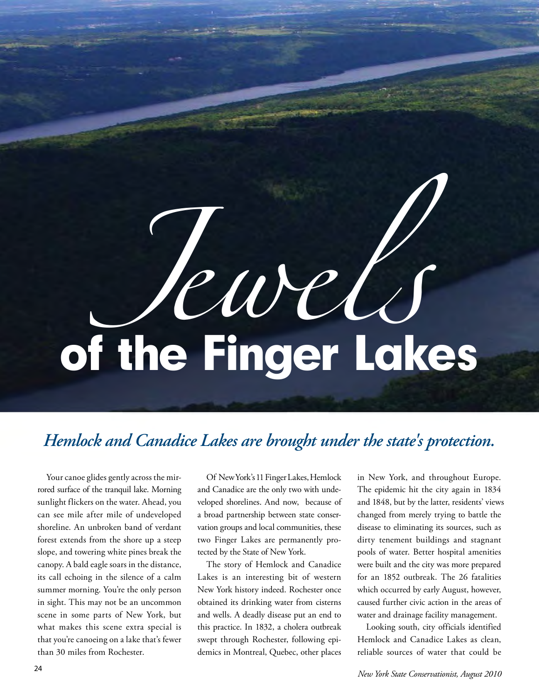## $\overline{\phantom{a}}$ *Jewels*<br>the Finger Lakes of the Finger Lakes

## *Hemlock and Canadice Lakes are brought under the state's protection.*

 can see mile after mile of undeveloped its call echoing in the silence of a calm scene in some parts of New York, but what makes this scene extra special is Your canoe glides gently across the mirrored surface of the tranquil lake. Morning sunlight flickers on the water. Ahead, you shoreline. An unbroken band of verdant forest extends from the shore up a steep slope, and towering white pines break the canopy. A bald eagle soars in the distance, summer morning. You're the only person in sight. This may not be an uncommon that you're canoeing on a lake that's fewer than 30 miles from Rochester.

Of New York's 11 Finger Lakes, Hemlock veloped shorelines. And now, because of vation groups and local communities, these and Canadice are the only two with undea broad partnership between state consertwo Finger Lakes are permanently protected by the State of New York.

 The story of Hemlock and Canadice New York history indeed. Rochester once obtained its drinking water from cisterns and wells. A deadly disease put an end to demics in Montreal, Quebec, other places Lakes is an interesting bit of western this practice. In 1832, a cholera outbreak swept through Rochester, following epi-

 in New York, and throughout Europe. changed from merely trying to battle the disease to eliminating its sources, such as pools of water. Better hospital amenities were built and the city was more prepared which occurred by early August, however, caused further civic action in the areas of The epidemic hit the city again in 1834 and 1848, but by the latter, residents' views dirty tenement buildings and stagnant for an 1852 outbreak. The 26 fatalities water and drainage facility management.

 Looking south, city officials identified Hemlock and Canadice Lakes as clean, reliable sources of water that could be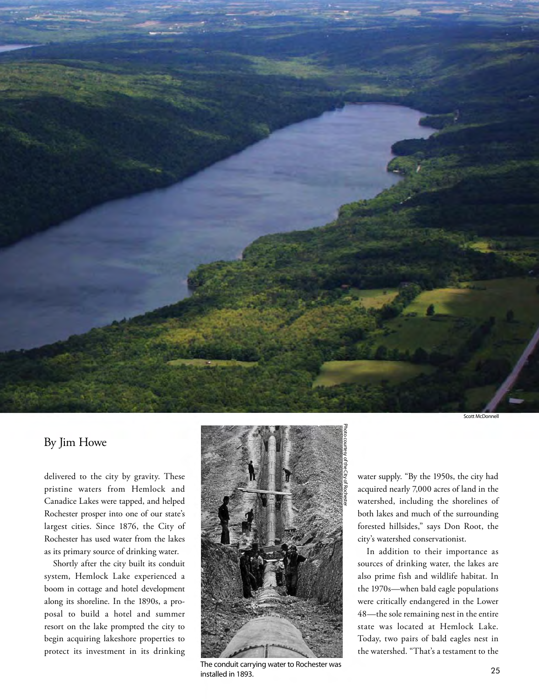

By Jim Howe

 pristine waters from Hemlock and Canadice Lakes were tapped, and helped Rochester prosper into one of our state's delivered to the city by gravity. These largest cities. Since 1876, the City of Rochester has used water from the lakes as its primary source of drinking water.

 Shortly after the city built its conduit system, Hemlock Lake experienced a posal to build a hotel and summer begin acquiring lakeshore properties to protect its investment in its drinking boom in cottage and hotel development along its shoreline. In the 1890s, a proresort on the lake prompted the city to



 The conduit carrying water to Rochester was installed in 1893.

 water supply. "By the 1950s, the city had watershed, including the shorelines of both lakes and much of the surrounding forested hillsides," says Don Root, the acquired nearly 7,000 acres of land in the city's watershed conservationist.

 the 1970s—when bald eagle populations were critically endangered in the Lower In addition to their importance as sources of drinking water, the lakes are also prime fish and wildlife habitat. In 48—the sole remaining nest in the entire state was located at Hemlock Lake. Today, two pairs of bald eagles nest in the watershed. "That's a testament to the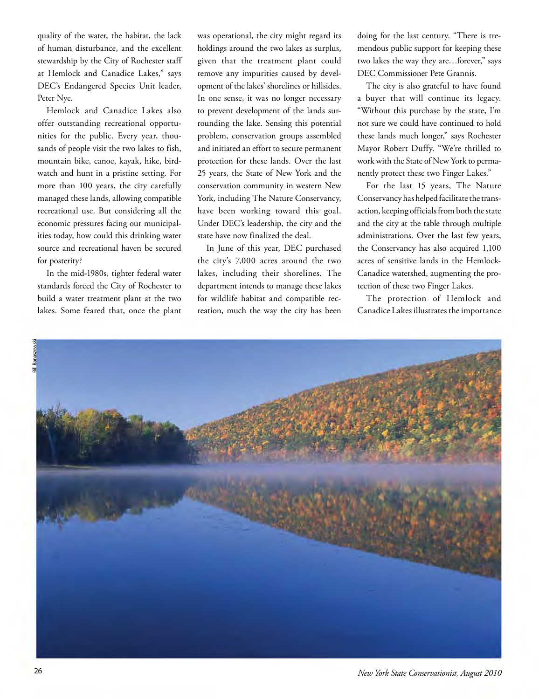quality of the water, the habitat, the lack of human disturbance, and the excellent stewardship by the City of Rochester staff at Hemlock and Canadice Lakes," says DEC's Endangered Species Unit leader, Peter Nye.

 Hemlock and Canadice Lakes also mountain bike, canoe, kayak, hike, bird- watch and hunt in a pristine setting. For managed these lands, allowing compatible source and recreational haven be secured offer outstanding recreational opportunities for the public. Every year, thousands of people visit the two lakes to fish, more than 100 years, the city carefully recreational use. But considering all the economic pressures facing our municipalities today, how could this drinking water for posterity?

 standards forced the City of Rochester to build a water treatment plant at the two In the mid-1980s, tighter federal water lakes. Some feared that, once the plant

 holdings around the two lakes as surplus, given that the treatment plant could opment of the lakes' shorelines or hillsides. In one sense, it was no longer necessary rounding the lake. Sensing this potential and initiated an effort to secure permanent protection for these lands. Over the last have been working toward this goal. Under DEC's leadership, the city and the was operational, the city might regard its remove any impurities caused by develto prevent development of the lands surproblem, conservation groups assembled 25 years, the State of New York and the conservation community in western New York, including The Nature Conservancy, state have now finalized the deal.

 In June of this year, DEC purchased lakes, including their shorelines. The department intends to manage these lakes the city's 7,000 acres around the two for wildlife habitat and compatible recreation, much the way the city has been

 mendous public support for keeping these two lakes the way they are…forever," says doing for the last century. "There is tre-DEC Commissioner Pete Grannis.

 a buyer that will continue its legacy. "Without this purchase by the state, I'm not sure we could have continued to hold these lands much longer," says Rochester The city is also grateful to have found Mayor Robert Duffy. "We're thrilled to work with the State of New York to permanently protect these two Finger Lakes."

 action, keeping officials from both the state administrations. Over the last few years, For the last 15 years, The Nature Conservancy has helped facilitate the transand the city at the table through multiple the Conservancy has also acquired 1,100 acres of sensitive lands in the Hemlock-Canadice watershed, augmenting the protection of these two Finger Lakes.

 The protection of Hemlock and Canadice Lakes illustrates the importance